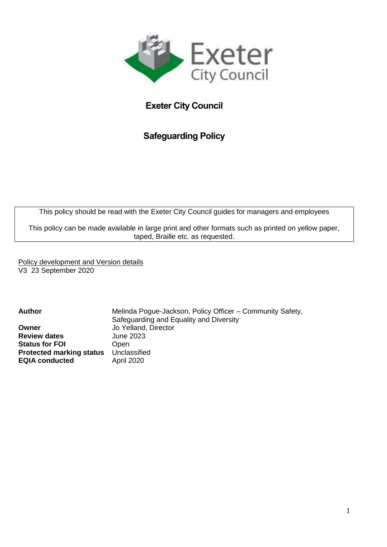

# **Exeter City Council**

# **Safeguarding Policy**

This policy should be read with the Exeter City Council guides for managers and employees

This policy can be made available in large print and other formats such as printed on yellow paper, taped, Braille etc. as requested.

Policy development and Version details V3 23 September 2020

**Owner** Jo Yelland, Director **Review dates** June 2023 **Status for FOI** Open **Protected marking status** Unclassified **EQIA conducted** April 2020

Author Melinda Pogue-Jackson, Policy Officer – Community Safety, Safeguarding and Equality and Diversity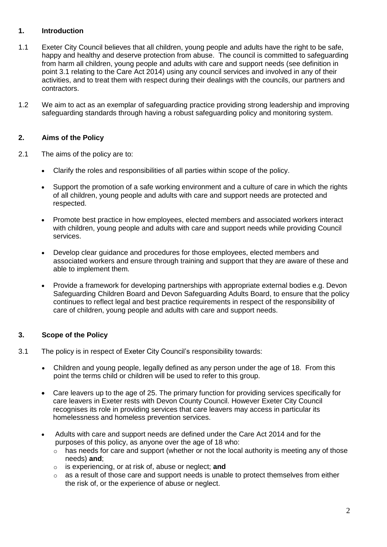# **1. Introduction**

- 1.1 Exeter City Council believes that all children, young people and adults have the right to be safe, happy and healthy and deserve protection from abuse. The council is committed to safeguarding from harm all children, young people and adults with care and support needs (see definition in point 3.1 relating to the Care Act 2014) using any council services and involved in any of their activities, and to treat them with respect during their dealings with the councils, our partners and contractors.
- 1.2 We aim to act as an exemplar of safeguarding practice providing strong leadership and improving safeguarding standards through having a robust safeguarding policy and monitoring system.

### **2. Aims of the Policy**

- 2.1 The aims of the policy are to:
	- Clarify the roles and responsibilities of all parties within scope of the policy.
	- Support the promotion of a safe working environment and a culture of care in which the rights of all children, young people and adults with care and support needs are protected and respected.
	- Promote best practice in how employees, elected members and associated workers interact with children, young people and adults with care and support needs while providing Council services.
	- Develop clear guidance and procedures for those employees, elected members and associated workers and ensure through training and support that they are aware of these and able to implement them.
	- Provide a framework for developing partnerships with appropriate external bodies e.g. Devon Safeguarding Children Board and Devon Safeguarding Adults Board, to ensure that the policy continues to reflect legal and best practice requirements in respect of the responsibility of care of children, young people and adults with care and support needs.

## **3. Scope of the Policy**

- 3.1 The policy is in respect of Exeter City Council's responsibility towards:
	- Children and young people, legally defined as any person under the age of 18. From this point the terms child or children will be used to refer to this group.
	- Care leavers up to the age of 25. The primary function for providing services specifically for care leavers in Exeter rests with Devon County Council. However Exeter City Council recognises its role in providing services that care leavers may access in particular its homelessness and homeless prevention services.
	- Adults with care and support needs are defined under the Care Act 2014 and for the purposes of this policy, as anyone over the age of 18 who:
		- $\circ$  has needs for care and support (whether or not the local authority is meeting any of those needs) **and**;
		- o is experiencing, or at risk of, abuse or neglect; **and**
		- $\circ$  as a result of those care and support needs is unable to protect themselves from either the risk of, or the experience of abuse or neglect.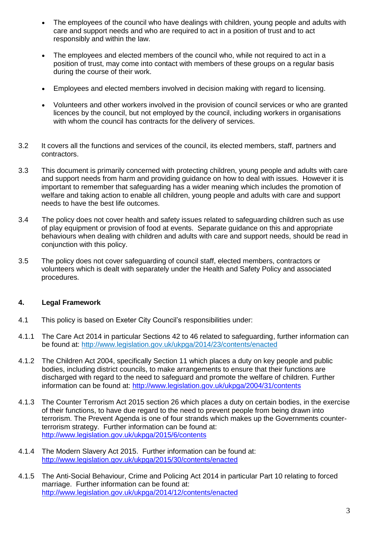- The employees of the council who have dealings with children, young people and adults with care and support needs and who are required to act in a position of trust and to act responsibly and within the law.
- The employees and elected members of the council who, while not required to act in a position of trust, may come into contact with members of these groups on a regular basis during the course of their work.
- Employees and elected members involved in decision making with regard to licensing.
- Volunteers and other workers involved in the provision of council services or who are granted licences by the council, but not employed by the council, including workers in organisations with whom the council has contracts for the delivery of services.
- 3.2 It covers all the functions and services of the council, its elected members, staff, partners and contractors.
- 3.3 This document is primarily concerned with protecting children, young people and adults with care and support needs from harm and providing guidance on how to deal with issues. However it is important to remember that safeguarding has a wider meaning which includes the promotion of welfare and taking action to enable all children, young people and adults with care and support needs to have the best life outcomes.
- 3.4 The policy does not cover health and safety issues related to safeguarding children such as use of play equipment or provision of food at events. Separate guidance on this and appropriate behaviours when dealing with children and adults with care and support needs, should be read in conjunction with this policy.
- 3.5 The policy does not cover safeguarding of council staff, elected members, contractors or volunteers which is dealt with separately under the Health and Safety Policy and associated procedures.

## **4. Legal Framework**

- 4.1 This policy is based on Exeter City Council's responsibilities under:
- 4.1.1 The Care Act 2014 in particular Sections 42 to 46 related to safeguarding, further information can be found at: <http://www.legislation.gov.uk/ukpga/2014/23/contents/enacted>
- 4.1.2 The Children Act 2004, specifically Section 11 which places a duty on key people and public bodies, including district councils, to make arrangements to ensure that their functions are discharged with regard to the need to safeguard and promote the welfare of children. Further information can be found at:<http://www.legislation.gov.uk/ukpga/2004/31/contents>
- 4.1.3 The Counter Terrorism Act 2015 section 26 which places a duty on certain bodies, in the exercise of their functions, to have due regard to the need to prevent people from being drawn into terrorism. The Prevent Agenda is one of four strands which makes up the Governments counterterrorism strategy. Further information can be found at: <http://www.legislation.gov.uk/ukpga/2015/6/contents>
- 4.1.4 The Modern Slavery Act 2015. Further information can be found at: <http://www.legislation.gov.uk/ukpga/2015/30/contents/enacted>
- 4.1.5 The Anti-Social Behaviour, Crime and Policing Act 2014 in particular Part 10 relating to forced marriage. Further information can be found at: <http://www.legislation.gov.uk/ukpga/2014/12/contents/enacted>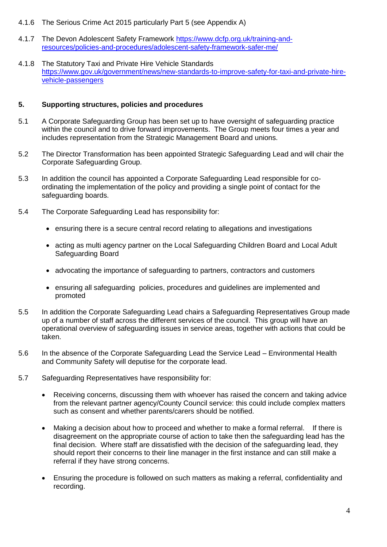- 4.1.6 The Serious Crime Act 2015 particularly Part 5 (see Appendix A)
- 4.1.7 The Devon Adolescent Safety Framework [https://www.dcfp.org.uk/training-and](https://www.dcfp.org.uk/training-and-resources/policies-and-procedures/adolescent-safety-framework-safer-me/)[resources/policies-and-procedures/adolescent-safety-framework-safer-me/](https://www.dcfp.org.uk/training-and-resources/policies-and-procedures/adolescent-safety-framework-safer-me/)
- 4.1.8 The Statutory Taxi and Private Hire Vehicle Standards [https://www.gov.uk/government/news/new-standards-to-improve-safety-for-taxi-and-private-hire](https://www.gov.uk/government/news/new-standards-to-improve-safety-for-taxi-and-private-hire-vehicle-passengers)[vehicle-passengers](https://www.gov.uk/government/news/new-standards-to-improve-safety-for-taxi-and-private-hire-vehicle-passengers)

#### **5. Supporting structures, policies and procedures**

- 5.1 A Corporate Safeguarding Group has been set up to have oversight of safeguarding practice within the council and to drive forward improvements. The Group meets four times a year and includes representation from the Strategic Management Board and unions.
- 5.2 The Director Transformation has been appointed Strategic Safeguarding Lead and will chair the Corporate Safeguarding Group.
- 5.3 In addition the council has appointed a Corporate Safeguarding Lead responsible for coordinating the implementation of the policy and providing a single point of contact for the safeguarding boards.
- 5.4 The Corporate Safeguarding Lead has responsibility for:
	- ensuring there is a secure central record relating to allegations and investigations
	- acting as multi agency partner on the Local Safeguarding Children Board and Local Adult Safeguarding Board
	- advocating the importance of safeguarding to partners, contractors and customers
	- ensuring all safeguarding policies, procedures and guidelines are implemented and promoted
- 5.5 In addition the Corporate Safeguarding Lead chairs a Safeguarding Representatives Group made up of a number of staff across the different services of the council. This group will have an operational overview of safeguarding issues in service areas, together with actions that could be taken.
- 5.6 In the absence of the Corporate Safeguarding Lead the Service Lead Environmental Health and Community Safety will deputise for the corporate lead.
- 5.7 Safeguarding Representatives have responsibility for:
	- Receiving concerns, discussing them with whoever has raised the concern and taking advice from the relevant partner agency/County Council service: this could include complex matters such as consent and whether parents/carers should be notified.
	- Making a decision about how to proceed and whether to make a formal referral. If there is disagreement on the appropriate course of action to take then the safeguarding lead has the final decision. Where staff are dissatisfied with the decision of the safeguarding lead, they should report their concerns to their line manager in the first instance and can still make a referral if they have strong concerns.
	- Ensuring the procedure is followed on such matters as making a referral, confidentiality and recording.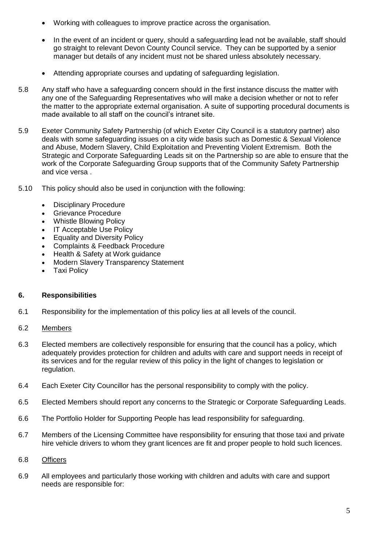- Working with colleagues to improve practice across the organisation.
- In the event of an incident or query, should a safeguarding lead not be available, staff should go straight to relevant Devon County Council service. They can be supported by a senior manager but details of any incident must not be shared unless absolutely necessary.
- Attending appropriate courses and updating of safeguarding legislation.
- 5.8 Any staff who have a safeguarding concern should in the first instance discuss the matter with any one of the Safeguarding Representatives who will make a decision whether or not to refer the matter to the appropriate external organisation. A suite of supporting procedural documents is made available to all staff on the council's intranet site.
- 5.9 Exeter Community Safety Partnership (of which Exeter City Council is a statutory partner) also deals with some safeguarding issues on a city wide basis such as Domestic & Sexual Violence and Abuse, Modern Slavery, Child Exploitation and Preventing Violent Extremism. Both the Strategic and Corporate Safeguarding Leads sit on the Partnership so are able to ensure that the work of the Corporate Safeguarding Group supports that of the Community Safety Partnership and vice versa .
- 5.10 This policy should also be used in conjunction with the following:
	- Disciplinary Procedure
	- Grievance Procedure
	- Whistle Blowing Policy
	- IT Acceptable Use Policy
	- Equality and Diversity Policy
	- Complaints & Feedback Procedure
	- Health & Safety at Work guidance
	- Modern Slavery Transparency Statement
	- Taxi Policy

## **6. Responsibilities**

- 6.1 Responsibility for the implementation of this policy lies at all levels of the council.
- 6.2 Members
- 6.3 Elected members are collectively responsible for ensuring that the council has a policy, which adequately provides protection for children and adults with care and support needs in receipt of its services and for the regular review of this policy in the light of changes to legislation or regulation.
- 6.4 Each Exeter City Councillor has the personal responsibility to comply with the policy.
- 6.5 Elected Members should report any concerns to the Strategic or Corporate Safeguarding Leads.
- 6.6 The Portfolio Holder for Supporting People has lead responsibility for safeguarding.
- 6.7 Members of the Licensing Committee have responsibility for ensuring that those taxi and private hire vehicle drivers to whom they grant licences are fit and proper people to hold such licences.
- 6.8 Officers
- 6.9 All employees and particularly those working with children and adults with care and support needs are responsible for: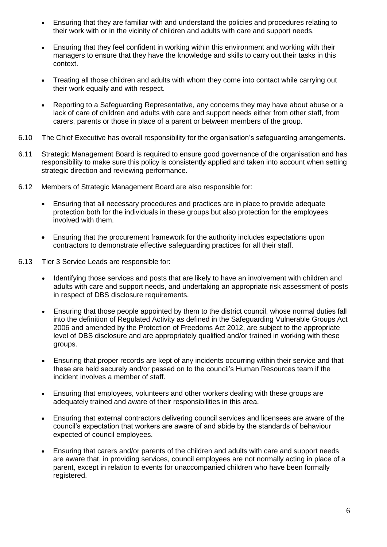- Ensuring that they are familiar with and understand the policies and procedures relating to their work with or in the vicinity of children and adults with care and support needs.
- Ensuring that they feel confident in working within this environment and working with their managers to ensure that they have the knowledge and skills to carry out their tasks in this context.
- Treating all those children and adults with whom they come into contact while carrying out their work equally and with respect.
- Reporting to a Safeguarding Representative, any concerns they may have about abuse or a lack of care of children and adults with care and support needs either from other staff, from carers, parents or those in place of a parent or between members of the group.
- 6.10 The Chief Executive has overall responsibility for the organisation's safeguarding arrangements.
- 6.11 Strategic Management Board is required to ensure good governance of the organisation and has responsibility to make sure this policy is consistently applied and taken into account when setting strategic direction and reviewing performance.
- 6.12 Members of Strategic Management Board are also responsible for:
	- Ensuring that all necessary procedures and practices are in place to provide adequate protection both for the individuals in these groups but also protection for the employees involved with them.
	- Ensuring that the procurement framework for the authority includes expectations upon contractors to demonstrate effective safeguarding practices for all their staff.
- 6.13 Tier 3 Service Leads are responsible for:
	- Identifying those services and posts that are likely to have an involvement with children and adults with care and support needs, and undertaking an appropriate risk assessment of posts in respect of DBS disclosure requirements.
	- Ensuring that those people appointed by them to the district council, whose normal duties fall into the definition of Regulated Activity as defined in the Safeguarding Vulnerable Groups Act 2006 and amended by the Protection of Freedoms Act 2012, are subject to the appropriate level of DBS disclosure and are appropriately qualified and/or trained in working with these groups.
	- Ensuring that proper records are kept of any incidents occurring within their service and that these are held securely and/or passed on to the council's Human Resources team if the incident involves a member of staff.
	- Ensuring that employees, volunteers and other workers dealing with these groups are adequately trained and aware of their responsibilities in this area.
	- Ensuring that external contractors delivering council services and licensees are aware of the council's expectation that workers are aware of and abide by the standards of behaviour expected of council employees.
	- Ensuring that carers and/or parents of the children and adults with care and support needs are aware that, in providing services, council employees are not normally acting in place of a parent, except in relation to events for unaccompanied children who have been formally registered.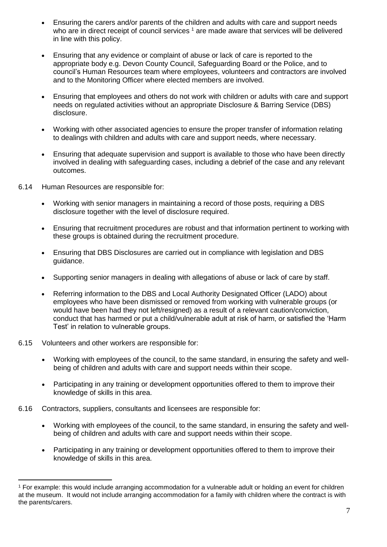- Ensuring the carers and/or parents of the children and adults with care and support needs who are in direct receipt of council services <sup>1</sup> are made aware that services will be delivered in line with this policy.
- Ensuring that any evidence or complaint of abuse or lack of care is reported to the appropriate body e.g. Devon County Council, Safeguarding Board or the Police, and to council's Human Resources team where employees, volunteers and contractors are involved and to the Monitoring Officer where elected members are involved.
- Ensuring that employees and others do not work with children or adults with care and support needs on regulated activities without an appropriate Disclosure & Barring Service (DBS) disclosure.
- Working with other associated agencies to ensure the proper transfer of information relating to dealings with children and adults with care and support needs, where necessary.
- Ensuring that adequate supervision and support is available to those who have been directly involved in dealing with safeguarding cases, including a debrief of the case and any relevant outcomes.
- 6.14 Human Resources are responsible for:
	- Working with senior managers in maintaining a record of those posts, requiring a DBS disclosure together with the level of disclosure required.
	- Ensuring that recruitment procedures are robust and that information pertinent to working with these groups is obtained during the recruitment procedure.
	- Ensuring that DBS Disclosures are carried out in compliance with legislation and DBS guidance.
	- Supporting senior managers in dealing with allegations of abuse or lack of care by staff.
	- Referring information to the DBS and Local Authority Designated Officer (LADO) about employees who have been dismissed or removed from working with vulnerable groups (or would have been had they not left/resigned) as a result of a relevant caution/conviction, conduct that has harmed or put a child/vulnerable adult at risk of harm, or satisfied the 'Harm Test' in relation to vulnerable groups.
- 6.15 Volunteers and other workers are responsible for:

 $\overline{a}$ 

- Working with employees of the council, to the same standard, in ensuring the safety and wellbeing of children and adults with care and support needs within their scope.
- Participating in any training or development opportunities offered to them to improve their knowledge of skills in this area.
- 6.16 Contractors, suppliers, consultants and licensees are responsible for:
	- Working with employees of the council, to the same standard, in ensuring the safety and wellbeing of children and adults with care and support needs within their scope.
	- Participating in any training or development opportunities offered to them to improve their knowledge of skills in this area.

<sup>&</sup>lt;sup>1</sup> For example: this would include arranging accommodation for a vulnerable adult or holding an event for children at the museum. It would not include arranging accommodation for a family with children where the contract is with the parents/carers.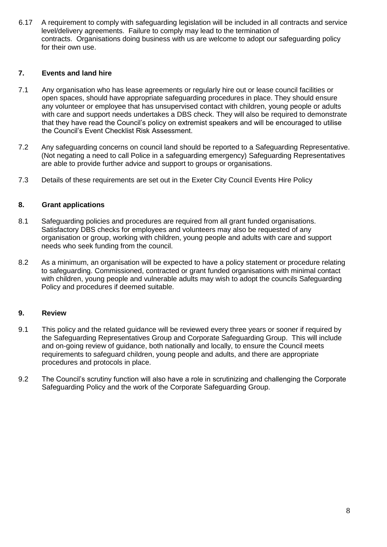6.17 A requirement to comply with safeguarding legislation will be included in all contracts and service level/delivery agreements. Failure to comply may lead to the termination of contracts. Organisations doing business with us are welcome to adopt our safeguarding policy for their own use.

### **7. Events and land hire**

- 7.1 Any organisation who has lease agreements or regularly hire out or lease council facilities or open spaces, should have appropriate safeguarding procedures in place. They should ensure any volunteer or employee that has unsupervised contact with children, young people or adults with care and support needs undertakes a DBS check. They will also be required to demonstrate that they have read the Council's policy on extremist speakers and will be encouraged to utilise the Council's Event Checklist Risk Assessment.
- 7.2 Any safeguarding concerns on council land should be reported to a Safeguarding Representative. (Not negating a need to call Police in a safeguarding emergency) Safeguarding Representatives are able to provide further advice and support to groups or organisations.
- 7.3 Details of these requirements are set out in the Exeter City Council Events Hire Policy

#### **8. Grant applications**

- 8.1 Safeguarding policies and procedures are required from all grant funded organisations. Satisfactory DBS checks for employees and volunteers may also be requested of any organisation or group, working with children, young people and adults with care and support needs who seek funding from the council.
- 8.2 As a minimum, an organisation will be expected to have a policy statement or procedure relating to safeguarding. Commissioned, contracted or grant funded organisations with minimal contact with children, young people and vulnerable adults may wish to adopt the councils Safeguarding Policy and procedures if deemed suitable.

#### **9. Review**

- 9.1 This policy and the related guidance will be reviewed every three years or sooner if required by the Safeguarding Representatives Group and Corporate Safeguarding Group. This will include and on-going review of guidance, both nationally and locally, to ensure the Council meets requirements to safeguard children, young people and adults, and there are appropriate procedures and protocols in place.
- 9.2 The Council's scrutiny function will also have a role in scrutinizing and challenging the Corporate Safeguarding Policy and the work of the Corporate Safeguarding Group.